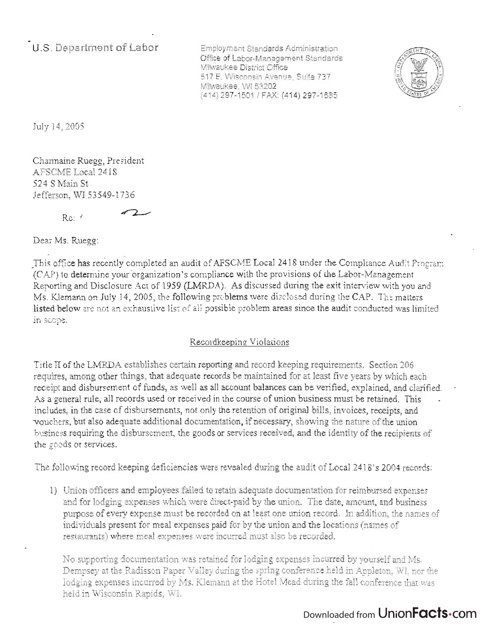**U.S. Department of Labor** 

Employment Standards Adm in istration npioyment Standards Administration<br>... Office of Labor-Management Standards<br>Milwaukee District Office iwaukee Listrict Omce<br>T. T. Wisconsin Avenue, Suite 737 TE, WISCORSIN AVENU Milwaukee, WI 53202<br>(414) 297-1501 / FAX: (414) 297-1685



July 14, 2005

Charmaine Ruegg, President ARTIC LOCES, ILLSI AFSCME Local 2418<br>524 S Main St Jefferson, WI 53549-1736

 $72$ 

 $Re:$  (

Dear Ms. Ruegg:

 $T \sim \mathcal{N}$  is the completed an audit of AFSCME Local 2418 under the Compliance Audit Program the Completed and  $\mathcal{N}$  $\alpha$  to determine your procedure  $\alpha$  and  $\alpha$  and  $\alpha$  and  $\alpha$  and  $\alpha$  and  $\alpha$  and  $\alpha$  and  $\alpha$   $\alpha$ -Management  $\alpha$  $(CAP)$  to determine your organization's compliance with the provisions of the Labor-Management<br>Reporting and Disclosure Act of 1959 (LMRDA). As discussed during the exit interview with you and Ms. Klemann on July 14, 2005, the following problems were disclosed during the CAP. The matters listed below are not an exhaustive list of all possible problem areas since the audit conducted was limited was<br>Limited was limited was limited was limited was likely seed the conduction of the audit conduction was limited rea pero

#### Recordkeeping Violations

Title II of the LMRDA establishes certain reporting and record keeping requirements. Section 206 requires, among other things, that adequate records be maintained for at least five years by which each receipt and disbursement of funds, as well as all account balances can be verified, explained, and clarified. As a general rule, all records used or received in the course of union business must be retained. This includes, in the case of disbursements, not only the retention of original bills, invoices, receipts, and "vouchers, but also adequate additional documentation, if necessary, showing the nature of the union business requiring the disbursement, the goods or services received, and the identity of the recipients of the goods or services.

The following record keeping deficiencies were revealed during the audit of Local 2418's 2004 records:

1) Union officers and employees failed to retain adequate documentation for reimbursed expenses and for lodging expenses which were direct-paid by the union. The date, amount, and business purpose of every expense must be recorded on at least one union record. In addition, the names of individuals present for meal expenses paid for by the union and the locations (names of restaurants) where meal expenses \vere incurred must also be recorded.

'No supporting documentation was retained for lodging expenses incurred by yourself and Ms. Dempsey at the Radisson Paper Valley during the spring conference held in Appleton, WI, nor the lodging expenses incurred by Ms. Klemann at the Hotel Mead during the fall conference that was held in Wisconsin Rapids, \V1.

## Downloaded from UnionFacts.com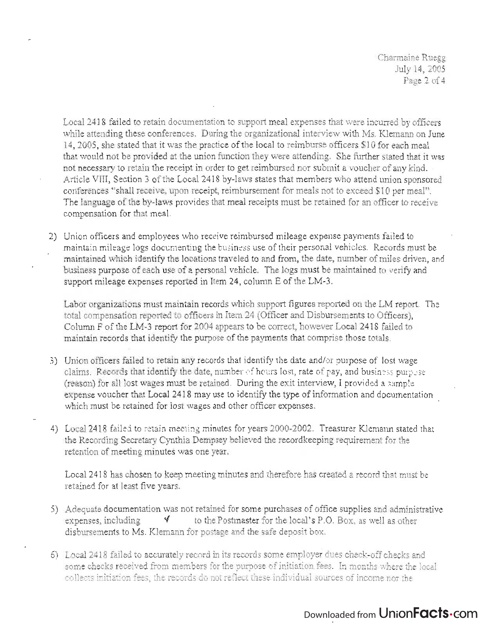Charmaine Ruegg July 14, 2005 Page 2 of 4

Local 2418 failed to retain documentation to support meal expenses that were incurred by officers while attending these conferences. During the organizational interview with Ms. Klemann on June 14,2005, she stated that it was the practice ofthe local to reimburse officers \$10 for each meal that would not be provided at the union function they were attending. She further stated that it was not necessary to retain the receipt in order to get reimbursed nor submit a voucher of any kind. Article VIII, Section 3 of the Local 2418 by-laws states that members who attend union sponsored conferences "shall receive, upon receipt, reimbursement for meals not to exceed \$10 per meal". The language of the by-laws provides that meal receipts must be retained for an officer to receive compensation for that meal.

2) Union officers and employees who receive reimbursed mileage expense payments failed to maintain mileage logs documenting the business use of their personal vehicles. Records must be maintained which identify the locations traveled to and from, the date, number of miles driven, and business purpose of each use of a personal vehicle. The logs must be maintained to verify and support mileage expenses reported in Item 24, column E of the LM-3.

Labor organizations must maintain records which support figures reported on the LM report. The total compensation reported to officers in Item 24 (Officer and Disbursements to Officers), Column F of the LM -3 report for 2004 appears to be correct, however Local 2418 failed to maintain records that identify the purpose of the payments that comprise those totals.

- 3) Union officers failed to retain any records that identify the date and/or purpose of lost wage claims. Records that identify the date, number of hours lost, rate of pay, and business purpose (reason) for all lost wages must be retained. During the exit interview, I provided a sample expense voucher that Local 2418 may use to identify the type of information and documentation which must be retained for lost wages and other officer expenses.
- 4) Local 2418 failed to retain meeting minutes for years 2000-2002. Treasurer Klemann stated that the Recording Secretary Cynthia Dempsey believed the recordkeeping requirement for the retention of meeting minutes was one year.

Local 2418 has chosen to keep meeting minutes and therefore has created a record that must be retained for at least five years.

- 5) Adequate documentation was not retained for some purchases of office supplies and administrative expenses, including  $\forall$  to the Postmaster for the local's P.O. Box, as well as other disbursements to Ms. Klemann for postage and the safe deposit box.
- 6) Local 2418 failed to accurately record in its records some employer dues check-off checks and some checks received from members for the purpose of initiation fees. In months where the local collects initiation fees, the records do not reflect these individual sources of income nor the

# Downloaded from UnionFacts.com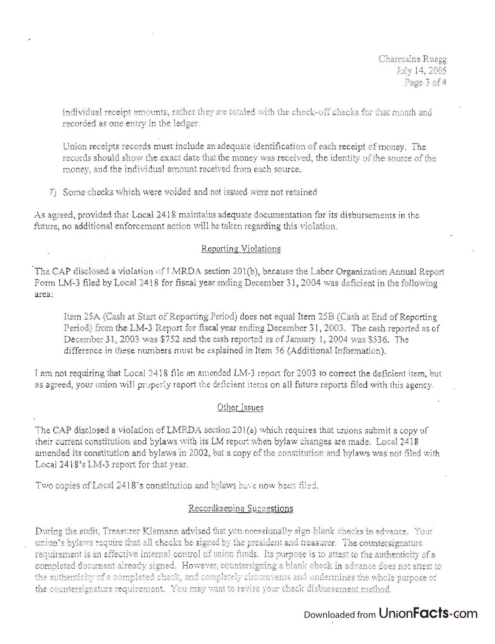individual receipt amounts, rather they are totaled with the check-off checks for that month and recorded as one entry in the ledger.

Union receipts records must include an adequate identification of each receipt of money. The records should show the exact date that the money was received, the identity of the source of the money, and the individual amount received from each source.

7) Some checks which were voided and not issued were not retained.

As agreed, provided that Local 2418 maintains adequate documentation for its disbursements in the future, no additional enforcement action will be taken regarding this violation.

#### Reporting Violations

The CAP disclosed a violation of LMRDA section 201(b), because the Labor Organization Annual Report Form LM-3 filed by Local 3418 for fiscal year ending December 31, 2004 was deficient in the following  $\frac{1}{2}$ 

Item 25A (Cash at Start of Reporting Period) does not equal Item 25B (Cash at End of Reporting Period) from the LM-3 Report for fiscal year ending December 31,2003. The cash reported as of December 31, 2003 was \$752 and the cash reported as of January 1, 2004 was \$536. The difference in these numbers must be explained in Item 56 (Additional Information).

I am not requiring that Local 2418 file an amended LM-3 report for 2003 to correct the deficient item, but as agreed, your union will properly report the deficient items on all future reports filed with this agency.

### Other Issues

The CAP disclosed a violation of LMRDA section 201(a) which requires that unions submit a copy of their current constitution and bylaws with its LM report when bylaw changes are made. Local 2418 amended its constitution and bylaws in 2002, but a copy of the constitution and bylaws was not filed with Local 2418's LM-3 report for that year.

Two copies of Local 2418's constitution and bylaws have now been filed.

### Recordkeeping Suggestions

During the audit, Treasurer Klemann advised that you occasionally sign blank checks in advance. Your union's bylaws require that all checks be signed by the president and treasurer. The countersignature requirement is an effective internal control of union funds. Its purpose is to attest to the authenticity ofa completed document already' signed. However, countersigning a blank check in advance does not attest to the authenticity of a completed check, and completely circumvents and undermines the whole purpose of the countersignature requirement. You may want to revise your check disbursement method.

## Downloaded from UnionFacts.com